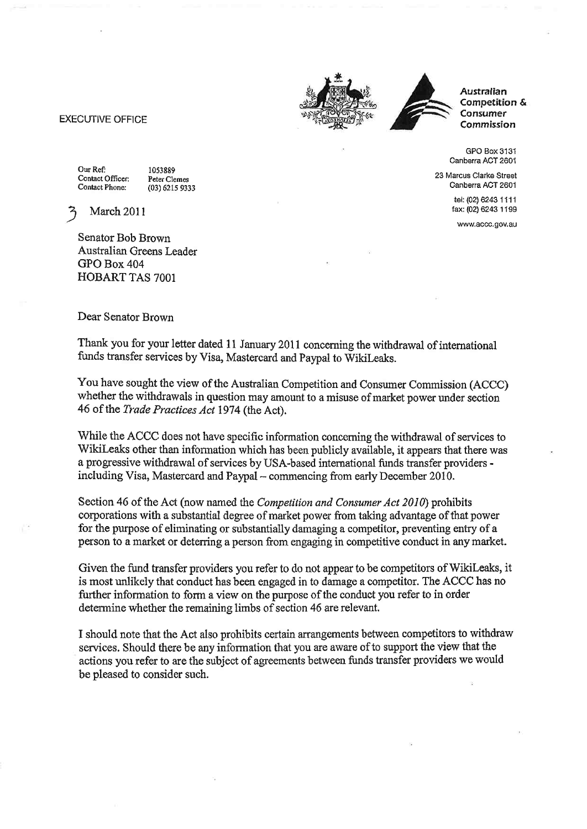## EXECUTIVE OFFICE **EXECUTIVE OF SUPPORT OF A SUPPORT OF A SUPPORT OF A SUPPORT OF A SUPPORT OF A SUPPORT OF A SUPPORT OF A SUPPORT OF A SUPPORT OF A SUPPORT OF A SUPPORT OF A SUPPORT OF A SUPPORT OF A SUPPORT OF A SUPPORT O**



Austrafian Competition & **Consumer** 

GPO Box 3131 Canberra ACT 2601

23 Marcus Clarke Street Canberra ACT 2601

> tel: (02) 6243 1 11 <sup>1</sup> fax: (02)6243 1199

www,accc.gov.au

Our Ref: 1053889<br>Contact Officer: Peter Cle

Contact Officer: Peter Clemes<br>Contact Phone: (03) 6215 9333

March 2011

Senator Bob Brown Australian Greens Leader GPO Box 404 HOBART TAS 7001

## Dear Senator Brown

Thank you for your letter dated 11 January 2011 concerning the withdrawal of international funds transfer services by visa, Mastercard and paypal to wikileaks.

You have sought the view of the Australian Competition and Consumer Commission (ACCC) whether the withdrawals in question may amount to a misuse of market power under section 46 of the *Trade Practices Act* 1974 (the Act).

While the ACCC does not have specific information concerning the withdrawal of services to Wikileaks other than information which has been publicly available, it appears that there was a progressive withdrawal of services by USA-based international funds transfer providers including Visa, Mastercard and Paypal - commencing from early December 2010.

Section 46 of the Act (now named the Competitíon and Consumer Act 2010) prohibits corporations with a substantial degree of market power from taking advantage of that power for the purpose of eliminating or substantially damaging a competitor, preventing entry of a person to a mæket or deterring a person from engaging in competitive conduct in any market.

Given the fund fransfer providers you refer to do not appear to be competitors of Wikileaks, it is most unlikely that conduct has been engaged in to damage a competitor. The ACCC has no fixther information to form a view on the purpose of the conduct you refer to in order determine whether the remaining limbs of section 46 are relevant.

I should note that the Act also prohibits certain arrangements between competitors to withdraw services. Should there be any information that you are aware of to support the view that the actions you refer to are the subject of agreements between fünds transfer providers we would be pleased to consider such.